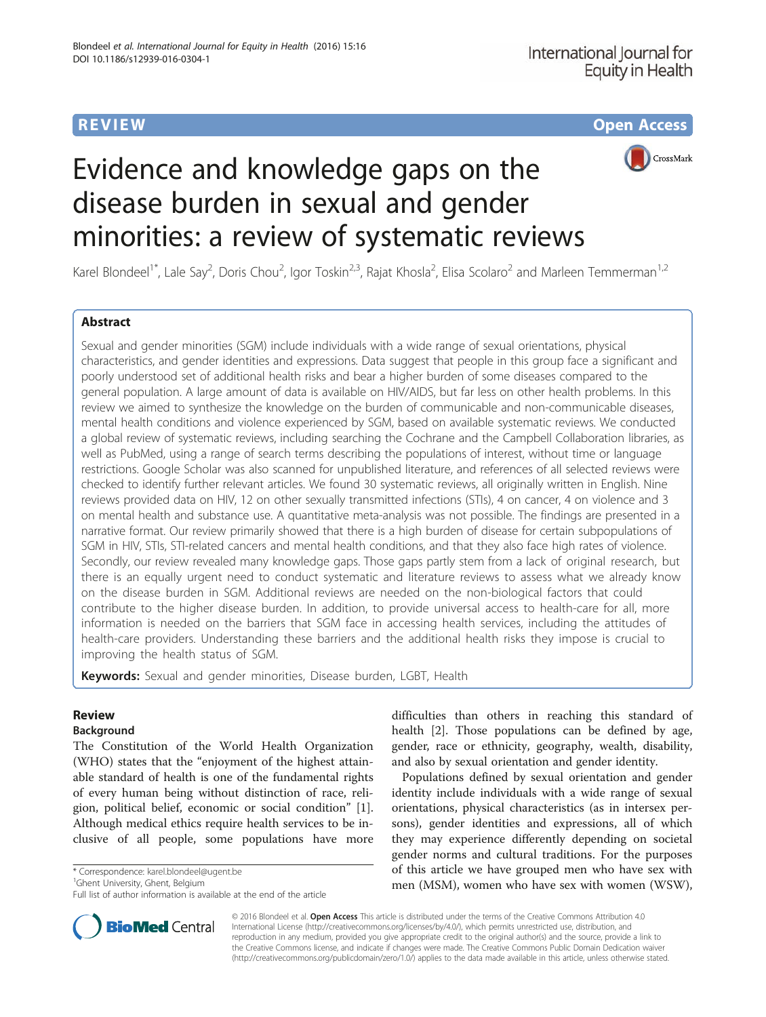# **REVIEW CONSTRUCTION CONSTRUCTION CONSTRUCTS**



# Evidence and knowledge gaps on the disease burden in sexual and gender minorities: a review of systematic reviews

Karel Blondeel<sup>1\*</sup>, Lale Say<sup>2</sup>, Doris Chou<sup>2</sup>, Igor Toskin<sup>2,3</sup>, Rajat Khosla<sup>2</sup>, Elisa Scolaro<sup>2</sup> and Marleen Temmerman<sup>1,2</sup>

## Abstract

Sexual and gender minorities (SGM) include individuals with a wide range of sexual orientations, physical characteristics, and gender identities and expressions. Data suggest that people in this group face a significant and poorly understood set of additional health risks and bear a higher burden of some diseases compared to the general population. A large amount of data is available on HIV/AIDS, but far less on other health problems. In this review we aimed to synthesize the knowledge on the burden of communicable and non-communicable diseases, mental health conditions and violence experienced by SGM, based on available systematic reviews. We conducted a global review of systematic reviews, including searching the Cochrane and the Campbell Collaboration libraries, as well as PubMed, using a range of search terms describing the populations of interest, without time or language restrictions. Google Scholar was also scanned for unpublished literature, and references of all selected reviews were checked to identify further relevant articles. We found 30 systematic reviews, all originally written in English. Nine reviews provided data on HIV, 12 on other sexually transmitted infections (STIs), 4 on cancer, 4 on violence and 3 on mental health and substance use. A quantitative meta-analysis was not possible. The findings are presented in a narrative format. Our review primarily showed that there is a high burden of disease for certain subpopulations of SGM in HIV, STIs, STI-related cancers and mental health conditions, and that they also face high rates of violence. Secondly, our review revealed many knowledge gaps. Those gaps partly stem from a lack of original research, but there is an equally urgent need to conduct systematic and literature reviews to assess what we already know on the disease burden in SGM. Additional reviews are needed on the non-biological factors that could contribute to the higher disease burden. In addition, to provide universal access to health-care for all, more information is needed on the barriers that SGM face in accessing health services, including the attitudes of health-care providers. Understanding these barriers and the additional health risks they impose is crucial to improving the health status of SGM.

Keywords: Sexual and gender minorities, Disease burden, LGBT, Health

## Review

## Background

The Constitution of the World Health Organization (WHO) states that the "enjoyment of the highest attainable standard of health is one of the fundamental rights of every human being without distinction of race, religion, political belief, economic or social condition" [\[1](#page-7-0)]. Although medical ethics require health services to be inclusive of all people, some populations have more

\* Correspondence: [karel.blondeel@ugent.be](mailto:karel.blondeel@ugent.be) <sup>1</sup>

<sup>1</sup>Ghent University, Ghent, Belgium

Full list of author information is available at the end of the article



Populations defined by sexual orientation and gender identity include individuals with a wide range of sexual orientations, physical characteristics (as in intersex persons), gender identities and expressions, all of which they may experience differently depending on societal gender norms and cultural traditions. For the purposes of this article we have grouped men who have sex with men (MSM), women who have sex with women (WSW),



© 2016 Blondeel et al. **Open Access** This article is distributed under the terms of the Creative Commons Attribution 4.0 International License [\(http://creativecommons.org/licenses/by/4.0/](http://creativecommons.org/licenses/by/4.0/)), which permits unrestricted use, distribution, and reproduction in any medium, provided you give appropriate credit to the original author(s) and the source, provide a link to the Creative Commons license, and indicate if changes were made. The Creative Commons Public Domain Dedication waiver [\(http://creativecommons.org/publicdomain/zero/1.0/](http://creativecommons.org/publicdomain/zero/1.0/)) applies to the data made available in this article, unless otherwise stated.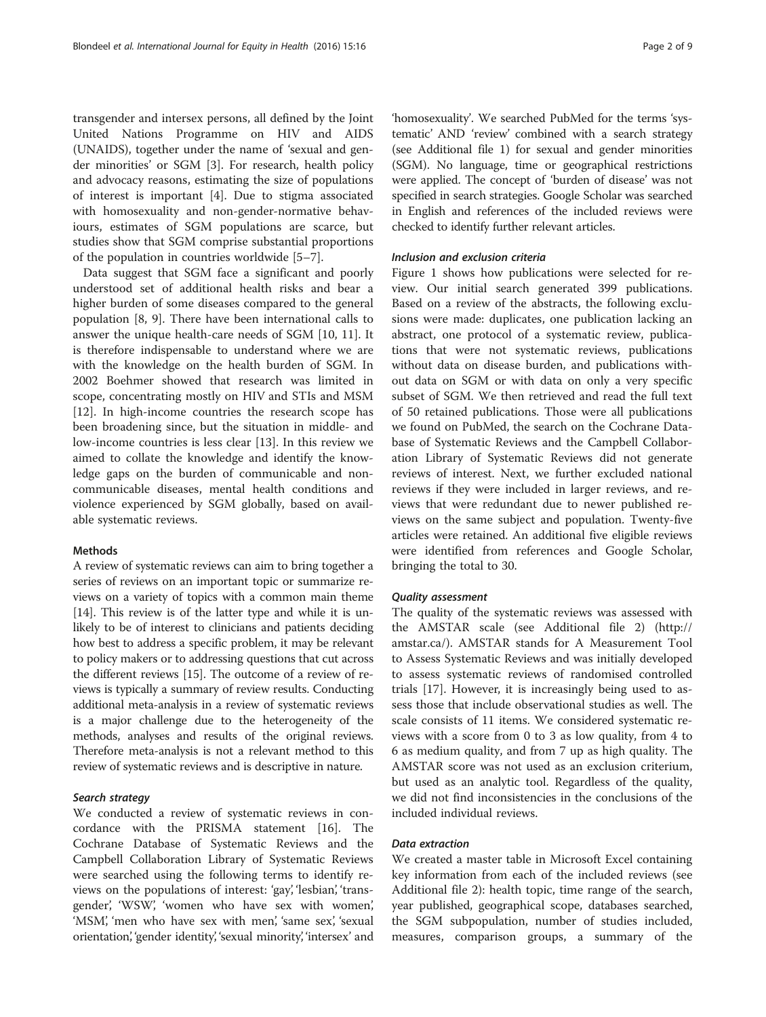transgender and intersex persons, all defined by the Joint United Nations Programme on HIV and AIDS (UNAIDS), together under the name of 'sexual and gender minorities' or SGM [[3\]](#page-7-0). For research, health policy and advocacy reasons, estimating the size of populations of interest is important [\[4](#page-7-0)]. Due to stigma associated with homosexuality and non-gender-normative behaviours, estimates of SGM populations are scarce, but studies show that SGM comprise substantial proportions of the population in countries worldwide [[5](#page-7-0)–[7](#page-7-0)].

Data suggest that SGM face a significant and poorly understood set of additional health risks and bear a higher burden of some diseases compared to the general population [[8](#page-7-0), [9](#page-7-0)]. There have been international calls to answer the unique health-care needs of SGM [\[10](#page-7-0), [11\]](#page-7-0). It is therefore indispensable to understand where we are with the knowledge on the health burden of SGM. In 2002 Boehmer showed that research was limited in scope, concentrating mostly on HIV and STIs and MSM [[12\]](#page-7-0). In high-income countries the research scope has been broadening since, but the situation in middle- and low-income countries is less clear [[13\]](#page-7-0). In this review we aimed to collate the knowledge and identify the knowledge gaps on the burden of communicable and noncommunicable diseases, mental health conditions and violence experienced by SGM globally, based on available systematic reviews.

## **Methods**

A review of systematic reviews can aim to bring together a series of reviews on an important topic or summarize reviews on a variety of topics with a common main theme [[14](#page-7-0)]. This review is of the latter type and while it is unlikely to be of interest to clinicians and patients deciding how best to address a specific problem, it may be relevant to policy makers or to addressing questions that cut across the different reviews [\[15\]](#page-7-0). The outcome of a review of reviews is typically a summary of review results. Conducting additional meta-analysis in a review of systematic reviews is a major challenge due to the heterogeneity of the methods, analyses and results of the original reviews. Therefore meta-analysis is not a relevant method to this review of systematic reviews and is descriptive in nature.

#### Search strategy

We conducted a review of systematic reviews in concordance with the PRISMA statement [\[16\]](#page-7-0). The Cochrane Database of Systematic Reviews and the Campbell Collaboration Library of Systematic Reviews were searched using the following terms to identify reviews on the populations of interest: 'gay', 'lesbian', 'transgender', 'WSW', 'women who have sex with women', 'MSM', 'men who have sex with men', 'same sex', 'sexual orientation', 'gender identity', 'sexual minority', 'intersex' and 'homosexuality'. We searched PubMed for the terms 'systematic' AND 'review' combined with a search strategy (see Additional file [1](#page-7-0)) for sexual and gender minorities (SGM). No language, time or geographical restrictions were applied. The concept of 'burden of disease' was not specified in search strategies. Google Scholar was searched in English and references of the included reviews were checked to identify further relevant articles.

## Inclusion and exclusion criteria

Figure [1](#page-2-0) shows how publications were selected for review. Our initial search generated 399 publications. Based on a review of the abstracts, the following exclusions were made: duplicates, one publication lacking an abstract, one protocol of a systematic review, publications that were not systematic reviews, publications without data on disease burden, and publications without data on SGM or with data on only a very specific subset of SGM. We then retrieved and read the full text of 50 retained publications. Those were all publications we found on PubMed, the search on the Cochrane Database of Systematic Reviews and the Campbell Collaboration Library of Systematic Reviews did not generate reviews of interest. Next, we further excluded national reviews if they were included in larger reviews, and reviews that were redundant due to newer published reviews on the same subject and population. Twenty-five articles were retained. An additional five eligible reviews were identified from references and Google Scholar, bringing the total to 30.

#### Quality assessment

The quality of the systematic reviews was assessed with the AMSTAR scale (see Additional file [2\)](#page-7-0) [\(http://](http://amstar.ca/) [amstar.ca/\)](http://amstar.ca/). AMSTAR stands for A Measurement Tool to Assess Systematic Reviews and was initially developed to assess systematic reviews of randomised controlled trials [[17\]](#page-7-0). However, it is increasingly being used to assess those that include observational studies as well. The scale consists of 11 items. We considered systematic reviews with a score from 0 to 3 as low quality, from 4 to 6 as medium quality, and from 7 up as high quality. The AMSTAR score was not used as an exclusion criterium, but used as an analytic tool. Regardless of the quality, we did not find inconsistencies in the conclusions of the included individual reviews.

## Data extraction

We created a master table in Microsoft Excel containing key information from each of the included reviews (see Additional file [2\)](#page-7-0): health topic, time range of the search, year published, geographical scope, databases searched, the SGM subpopulation, number of studies included, measures, comparison groups, a summary of the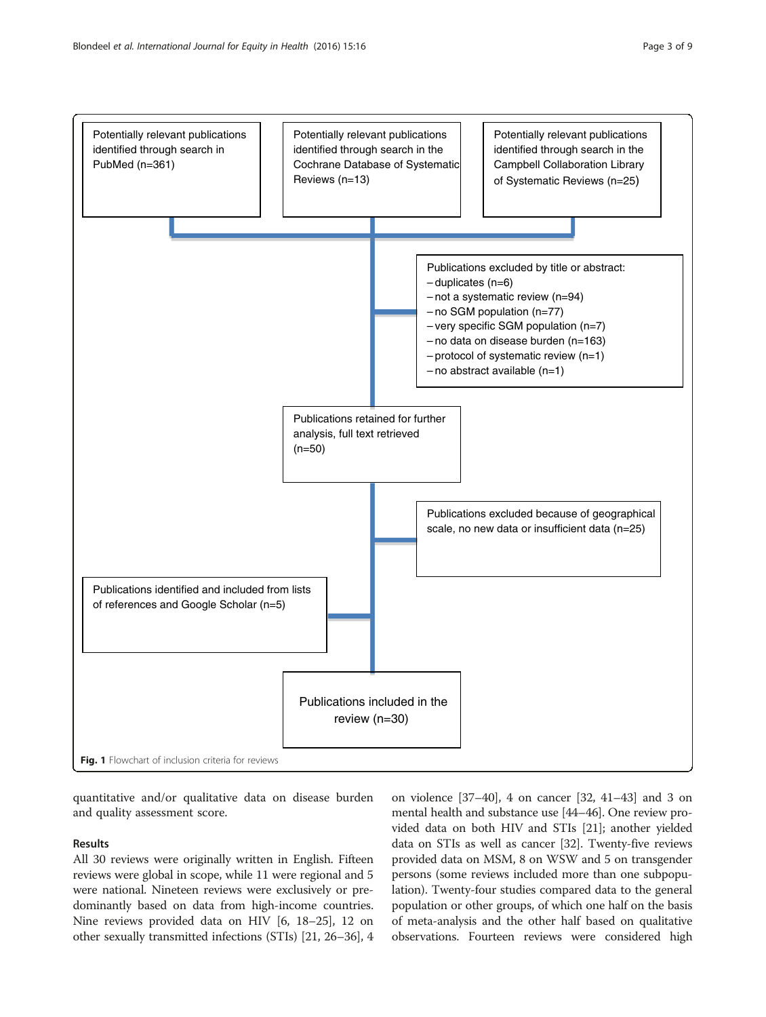<span id="page-2-0"></span>

quantitative and/or qualitative data on disease burden and quality assessment score.

## Results

All 30 reviews were originally written in English. Fifteen reviews were global in scope, while 11 were regional and 5 were national. Nineteen reviews were exclusively or predominantly based on data from high-income countries. Nine reviews provided data on HIV [\[6](#page-7-0), [18](#page-7-0)–[25](#page--1-0)], 12 on other sexually transmitted infections (STIs) [\[21](#page--1-0), [26](#page--1-0)–[36](#page--1-0)], 4

on violence [\[37](#page--1-0)–[40\]](#page--1-0), 4 on cancer [\[32](#page--1-0), [41](#page--1-0)–[43](#page--1-0)] and 3 on mental health and substance use [\[44](#page--1-0)–[46](#page--1-0)]. One review provided data on both HIV and STIs [[21](#page--1-0)]; another yielded data on STIs as well as cancer [[32](#page--1-0)]. Twenty-five reviews provided data on MSM, 8 on WSW and 5 on transgender persons (some reviews included more than one subpopulation). Twenty-four studies compared data to the general population or other groups, of which one half on the basis of meta-analysis and the other half based on qualitative observations. Fourteen reviews were considered high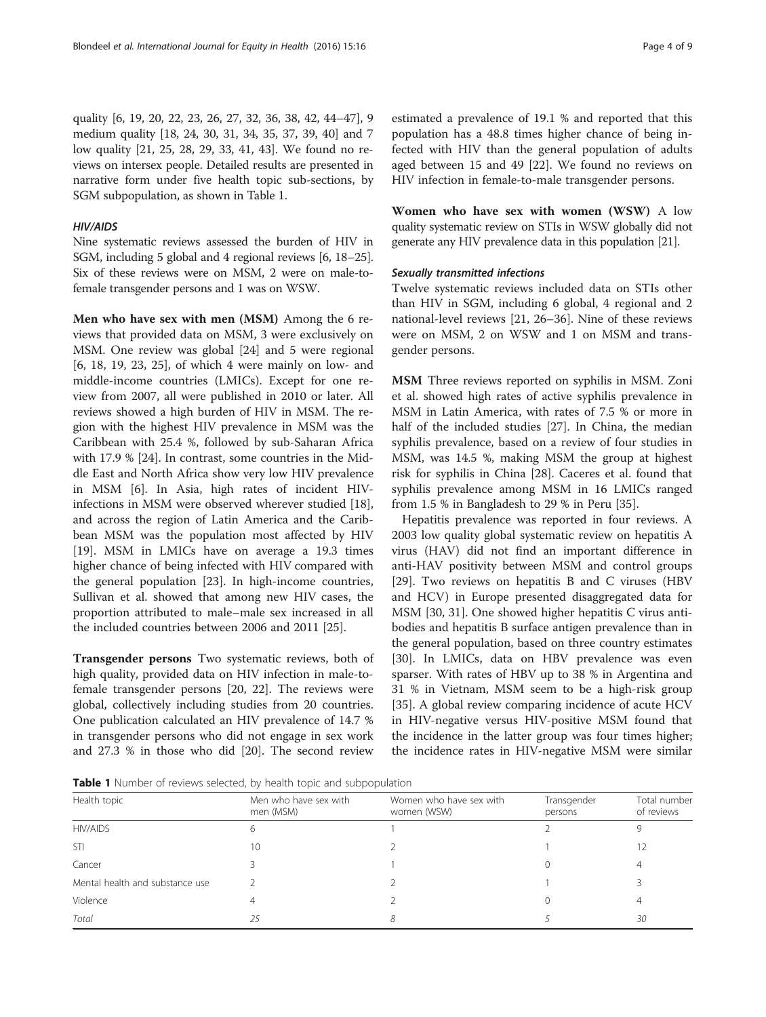quality [\[6](#page-7-0), [19](#page-7-0), [20](#page-7-0), [22](#page--1-0), [23, 26, 27, 32, 36](#page--1-0), [38](#page--1-0), [42](#page--1-0), [44](#page--1-0)–[47](#page--1-0)], 9 medium quality [[18](#page-7-0), [24, 30, 31](#page--1-0), [34, 35](#page--1-0), [37, 39, 40](#page--1-0)] and 7 low quality [[21](#page--1-0), [25, 28](#page--1-0), [29, 33, 41](#page--1-0), [43\]](#page--1-0). We found no reviews on intersex people. Detailed results are presented in narrative form under five health topic sub-sections, by SGM subpopulation, as shown in Table 1.

#### HIV/AIDS

Nine systematic reviews assessed the burden of HIV in SGM, including 5 global and 4 regional reviews [\[6, 18](#page-7-0)–[25](#page--1-0)]. Six of these reviews were on MSM, 2 were on male-tofemale transgender persons and 1 was on WSW.

Men who have sex with men (MSM) Among the 6 reviews that provided data on MSM, 3 were exclusively on MSM. One review was global [\[24](#page--1-0)] and 5 were regional [[6, 18](#page-7-0), [19](#page-7-0), [23, 25\]](#page--1-0), of which 4 were mainly on low- and middle-income countries (LMICs). Except for one review from 2007, all were published in 2010 or later. All reviews showed a high burden of HIV in MSM. The region with the highest HIV prevalence in MSM was the Caribbean with 25.4 %, followed by sub-Saharan Africa with 17.9 % [\[24](#page--1-0)]. In contrast, some countries in the Middle East and North Africa show very low HIV prevalence in MSM [[6\]](#page-7-0). In Asia, high rates of incident HIVinfections in MSM were observed wherever studied [\[18](#page-7-0)], and across the region of Latin America and the Caribbean MSM was the population most affected by HIV [[19\]](#page-7-0). MSM in LMICs have on average a 19.3 times higher chance of being infected with HIV compared with the general population [[23](#page--1-0)]. In high-income countries, Sullivan et al. showed that among new HIV cases, the proportion attributed to male–male sex increased in all the included countries between 2006 and 2011 [\[25](#page--1-0)].

Transgender persons Two systematic reviews, both of high quality, provided data on HIV infection in male-tofemale transgender persons [[20,](#page-7-0) [22\]](#page--1-0). The reviews were global, collectively including studies from 20 countries. One publication calculated an HIV prevalence of 14.7 % in transgender persons who did not engage in sex work and 27.3 % in those who did [[20](#page-7-0)]. The second review

estimated a prevalence of 19.1 % and reported that this population has a 48.8 times higher chance of being infected with HIV than the general population of adults aged between 15 and 49 [\[22](#page--1-0)]. We found no reviews on HIV infection in female-to-male transgender persons.

Women who have sex with women (WSW) A low quality systematic review on STIs in WSW globally did not generate any HIV prevalence data in this population [\[21\]](#page--1-0).

#### Sexually transmitted infections

Twelve systematic reviews included data on STIs other than HIV in SGM, including 6 global, 4 regional and 2 national-level reviews [[21, 26](#page--1-0)–[36\]](#page--1-0). Nine of these reviews were on MSM, 2 on WSW and 1 on MSM and transgender persons.

MSM Three reviews reported on syphilis in MSM. Zoni et al. showed high rates of active syphilis prevalence in MSM in Latin America, with rates of 7.5 % or more in half of the included studies [\[27\]](#page--1-0). In China, the median syphilis prevalence, based on a review of four studies in MSM, was 14.5 %, making MSM the group at highest risk for syphilis in China [[28\]](#page--1-0). Caceres et al. found that syphilis prevalence among MSM in 16 LMICs ranged from 1.5 % in Bangladesh to 29 % in Peru [[35\]](#page--1-0).

Hepatitis prevalence was reported in four reviews. A 2003 low quality global systematic review on hepatitis A virus (HAV) did not find an important difference in anti-HAV positivity between MSM and control groups [[29\]](#page--1-0). Two reviews on hepatitis B and C viruses (HBV and HCV) in Europe presented disaggregated data for MSM [\[30, 31\]](#page--1-0). One showed higher hepatitis C virus antibodies and hepatitis B surface antigen prevalence than in the general population, based on three country estimates [[30\]](#page--1-0). In LMICs, data on HBV prevalence was even sparser. With rates of HBV up to 38 % in Argentina and 31 % in Vietnam, MSM seem to be a high-risk group [[35\]](#page--1-0). A global review comparing incidence of acute HCV in HIV-negative versus HIV-positive MSM found that the incidence in the latter group was four times higher; the incidence rates in HIV-negative MSM were similar

Table 1 Number of reviews selected, by health topic and subpopulation

| Health topic                    | Men who have sex with<br>men (MSM) | Women who have sex with<br>women (WSW) | Transgender<br>persons | Total number<br>of reviews |
|---------------------------------|------------------------------------|----------------------------------------|------------------------|----------------------------|
| <b>HIV/AIDS</b>                 | 6                                  |                                        |                        |                            |
| STI                             | 10                                 |                                        |                        |                            |
| Cancer                          |                                    |                                        |                        |                            |
| Mental health and substance use |                                    |                                        |                        |                            |
| Violence                        |                                    |                                        |                        |                            |
| Total                           | 25                                 | 8                                      |                        | 30                         |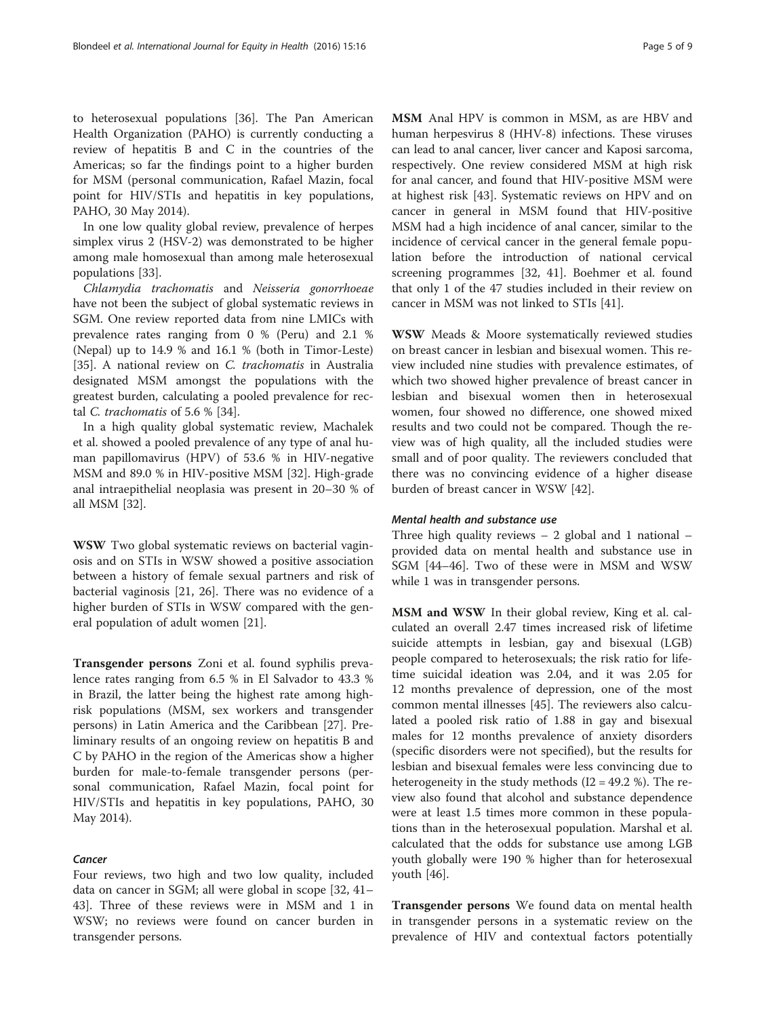to heterosexual populations [[36](#page--1-0)]. The Pan American Health Organization (PAHO) is currently conducting a review of hepatitis B and C in the countries of the Americas; so far the findings point to a higher burden for MSM (personal communication, Rafael Mazin, focal point for HIV/STIs and hepatitis in key populations, PAHO, 30 May 2014).

In one low quality global review, prevalence of herpes simplex virus 2 (HSV-2) was demonstrated to be higher among male homosexual than among male heterosexual populations [[33](#page--1-0)].

Chlamydia trachomatis and Neisseria gonorrhoeae have not been the subject of global systematic reviews in SGM. One review reported data from nine LMICs with prevalence rates ranging from 0 % (Peru) and 2.1 % (Nepal) up to 14.9 % and 16.1 % (both in Timor-Leste) [[35\]](#page--1-0). A national review on C. trachomatis in Australia designated MSM amongst the populations with the greatest burden, calculating a pooled prevalence for rectal C. trachomatis of 5.6 % [\[34](#page--1-0)].

In a high quality global systematic review, Machalek et al. showed a pooled prevalence of any type of anal human papillomavirus (HPV) of 53.6 % in HIV-negative MSM and 89.0 % in HIV-positive MSM [\[32](#page--1-0)]. High-grade anal intraepithelial neoplasia was present in 20–30 % of all MSM [\[32](#page--1-0)].

WSW Two global systematic reviews on bacterial vaginosis and on STIs in WSW showed a positive association between a history of female sexual partners and risk of bacterial vaginosis [\[21, 26\]](#page--1-0). There was no evidence of a higher burden of STIs in WSW compared with the general population of adult women [\[21](#page--1-0)].

Transgender persons Zoni et al. found syphilis prevalence rates ranging from 6.5 % in El Salvador to 43.3 % in Brazil, the latter being the highest rate among highrisk populations (MSM, sex workers and transgender persons) in Latin America and the Caribbean [\[27](#page--1-0)]. Preliminary results of an ongoing review on hepatitis B and C by PAHO in the region of the Americas show a higher burden for male-to-female transgender persons (personal communication, Rafael Mazin, focal point for HIV/STIs and hepatitis in key populations, PAHO, 30 May 2014).

#### **Cancer**

Four reviews, two high and two low quality, included data on cancer in SGM; all were global in scope [[32, 41](#page--1-0)– [43\]](#page--1-0). Three of these reviews were in MSM and 1 in WSW; no reviews were found on cancer burden in transgender persons.

MSM Anal HPV is common in MSM, as are HBV and human herpesvirus 8 (HHV-8) infections. These viruses can lead to anal cancer, liver cancer and Kaposi sarcoma, respectively. One review considered MSM at high risk for anal cancer, and found that HIV-positive MSM were at highest risk [\[43\]](#page--1-0). Systematic reviews on HPV and on cancer in general in MSM found that HIV-positive MSM had a high incidence of anal cancer, similar to the incidence of cervical cancer in the general female population before the introduction of national cervical

WSW Meads & Moore systematically reviewed studies on breast cancer in lesbian and bisexual women. This review included nine studies with prevalence estimates, of which two showed higher prevalence of breast cancer in lesbian and bisexual women then in heterosexual women, four showed no difference, one showed mixed results and two could not be compared. Though the review was of high quality, all the included studies were small and of poor quality. The reviewers concluded that there was no convincing evidence of a higher disease burden of breast cancer in WSW [\[42\]](#page--1-0).

screening programmes [\[32](#page--1-0), [41](#page--1-0)]. Boehmer et al. found that only 1 of the 47 studies included in their review on

cancer in MSM was not linked to STIs [\[41\]](#page--1-0).

## Mental health and substance use

Three high quality reviews  $-2$  global and 1 national  $$ provided data on mental health and substance use in SGM [[44](#page--1-0)–[46](#page--1-0)]. Two of these were in MSM and WSW while 1 was in transgender persons.

MSM and WSW In their global review, King et al. calculated an overall 2.47 times increased risk of lifetime suicide attempts in lesbian, gay and bisexual (LGB) people compared to heterosexuals; the risk ratio for lifetime suicidal ideation was 2.04, and it was 2.05 for 12 months prevalence of depression, one of the most common mental illnesses [\[45](#page--1-0)]. The reviewers also calculated a pooled risk ratio of 1.88 in gay and bisexual males for 12 months prevalence of anxiety disorders (specific disorders were not specified), but the results for lesbian and bisexual females were less convincing due to heterogeneity in the study methods  $(I2 = 49.2 \%)$ . The review also found that alcohol and substance dependence were at least 1.5 times more common in these populations than in the heterosexual population. Marshal et al. calculated that the odds for substance use among LGB youth globally were 190 % higher than for heterosexual youth [\[46\]](#page--1-0).

**Transgender persons** We found data on mental health in transgender persons in a systematic review on the prevalence of HIV and contextual factors potentially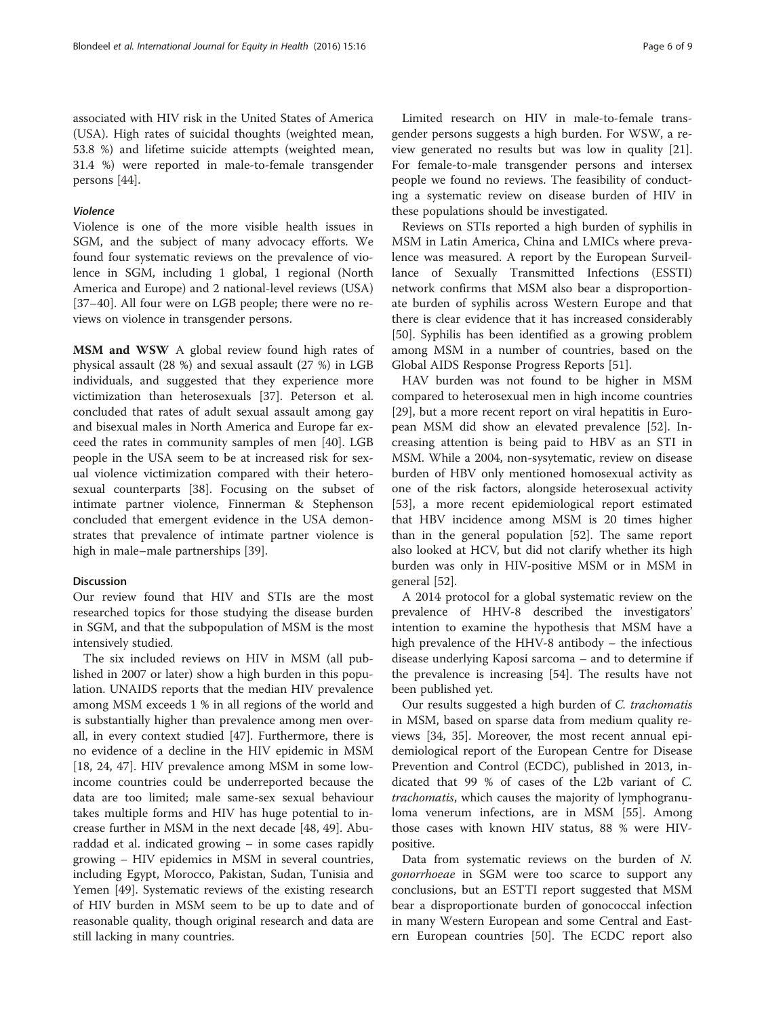associated with HIV risk in the United States of America (USA). High rates of suicidal thoughts (weighted mean, 53.8 %) and lifetime suicide attempts (weighted mean, 31.4 %) were reported in male-to-female transgender persons [\[44](#page--1-0)].

## Violence

Violence is one of the more visible health issues in SGM, and the subject of many advocacy efforts. We found four systematic reviews on the prevalence of violence in SGM, including 1 global, 1 regional (North America and Europe) and 2 national-level reviews (USA) [[37](#page--1-0)–[40](#page--1-0)]. All four were on LGB people; there were no reviews on violence in transgender persons.

MSM and WSW A global review found high rates of physical assault (28 %) and sexual assault (27 %) in LGB individuals, and suggested that they experience more victimization than heterosexuals [[37\]](#page--1-0). Peterson et al. concluded that rates of adult sexual assault among gay and bisexual males in North America and Europe far exceed the rates in community samples of men [\[40\]](#page--1-0). LGB people in the USA seem to be at increased risk for sexual violence victimization compared with their heterosexual counterparts [[38\]](#page--1-0). Focusing on the subset of intimate partner violence, Finnerman & Stephenson concluded that emergent evidence in the USA demonstrates that prevalence of intimate partner violence is high in male–male partnerships [\[39\]](#page--1-0).

## Discussion

Our review found that HIV and STIs are the most researched topics for those studying the disease burden in SGM, and that the subpopulation of MSM is the most intensively studied.

The six included reviews on HIV in MSM (all published in 2007 or later) show a high burden in this population. UNAIDS reports that the median HIV prevalence among MSM exceeds 1 % in all regions of the world and is substantially higher than prevalence among men overall, in every context studied [[47](#page--1-0)]. Furthermore, there is no evidence of a decline in the HIV epidemic in MSM [[18,](#page-7-0) [24](#page--1-0), [47\]](#page--1-0). HIV prevalence among MSM in some lowincome countries could be underreported because the data are too limited; male same-sex sexual behaviour takes multiple forms and HIV has huge potential to increase further in MSM in the next decade [\[48](#page--1-0), [49](#page--1-0)]. Aburaddad et al. indicated growing – in some cases rapidly growing – HIV epidemics in MSM in several countries, including Egypt, Morocco, Pakistan, Sudan, Tunisia and Yemen [\[49](#page--1-0)]. Systematic reviews of the existing research of HIV burden in MSM seem to be up to date and of reasonable quality, though original research and data are still lacking in many countries.

Limited research on HIV in male-to-female transgender persons suggests a high burden. For WSW, a review generated no results but was low in quality [\[21](#page--1-0)]. For female-to-male transgender persons and intersex people we found no reviews. The feasibility of conducting a systematic review on disease burden of HIV in these populations should be investigated.

Reviews on STIs reported a high burden of syphilis in MSM in Latin America, China and LMICs where prevalence was measured. A report by the European Surveillance of Sexually Transmitted Infections (ESSTI) network confirms that MSM also bear a disproportionate burden of syphilis across Western Europe and that there is clear evidence that it has increased considerably [[50\]](#page--1-0). Syphilis has been identified as a growing problem among MSM in a number of countries, based on the Global AIDS Response Progress Reports [\[51](#page--1-0)].

HAV burden was not found to be higher in MSM compared to heterosexual men in high income countries [[29\]](#page--1-0), but a more recent report on viral hepatitis in European MSM did show an elevated prevalence [\[52\]](#page--1-0). Increasing attention is being paid to HBV as an STI in MSM. While a 2004, non-sysytematic, review on disease burden of HBV only mentioned homosexual activity as one of the risk factors, alongside heterosexual activity [[53\]](#page--1-0), a more recent epidemiological report estimated that HBV incidence among MSM is 20 times higher than in the general population [\[52\]](#page--1-0). The same report also looked at HCV, but did not clarify whether its high burden was only in HIV-positive MSM or in MSM in general [\[52](#page--1-0)].

A 2014 protocol for a global systematic review on the prevalence of HHV-8 described the investigators' intention to examine the hypothesis that MSM have a high prevalence of the HHV-8 antibody – the infectious disease underlying Kaposi sarcoma – and to determine if the prevalence is increasing [\[54\]](#page--1-0). The results have not been published yet.

Our results suggested a high burden of C. trachomatis in MSM, based on sparse data from medium quality reviews [[34, 35](#page--1-0)]. Moreover, the most recent annual epidemiological report of the European Centre for Disease Prevention and Control (ECDC), published in 2013, indicated that 99 % of cases of the L2b variant of C. trachomatis, which causes the majority of lymphogranuloma venerum infections, are in MSM [[55\]](#page--1-0). Among those cases with known HIV status, 88 % were HIVpositive.

Data from systematic reviews on the burden of N. gonorrhoeae in SGM were too scarce to support any conclusions, but an ESTTI report suggested that MSM bear a disproportionate burden of gonococcal infection in many Western European and some Central and Eastern European countries [\[50\]](#page--1-0). The ECDC report also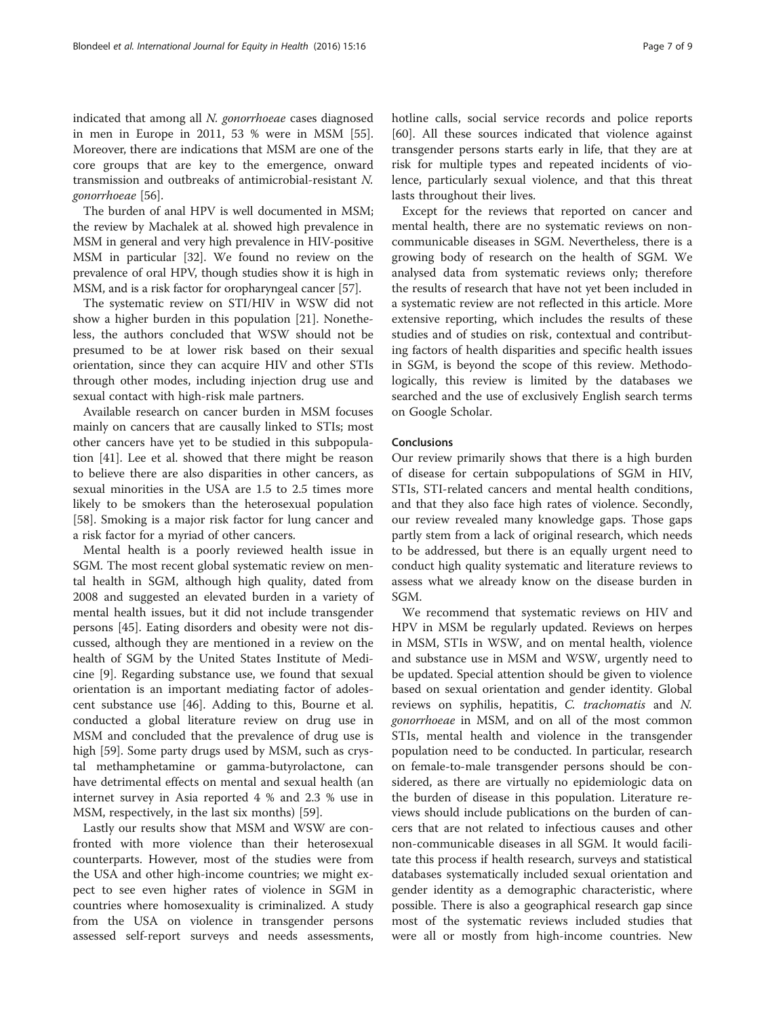indicated that among all N. gonorrhoeae cases diagnosed in men in Europe in 2011, 53 % were in MSM [\[55](#page--1-0)]. Moreover, there are indications that MSM are one of the core groups that are key to the emergence, onward transmission and outbreaks of antimicrobial-resistant N. gonorrhoeae [\[56\]](#page--1-0).

The burden of anal HPV is well documented in MSM; the review by Machalek at al. showed high prevalence in MSM in general and very high prevalence in HIV-positive MSM in particular [[32](#page--1-0)]. We found no review on the prevalence of oral HPV, though studies show it is high in MSM, and is a risk factor for oropharyngeal cancer [\[57\]](#page--1-0).

The systematic review on STI/HIV in WSW did not show a higher burden in this population [[21\]](#page--1-0). Nonetheless, the authors concluded that WSW should not be presumed to be at lower risk based on their sexual orientation, since they can acquire HIV and other STIs through other modes, including injection drug use and sexual contact with high-risk male partners.

Available research on cancer burden in MSM focuses mainly on cancers that are causally linked to STIs; most other cancers have yet to be studied in this subpopulation [\[41\]](#page--1-0). Lee et al. showed that there might be reason to believe there are also disparities in other cancers, as sexual minorities in the USA are 1.5 to 2.5 times more likely to be smokers than the heterosexual population [[58\]](#page--1-0). Smoking is a major risk factor for lung cancer and a risk factor for a myriad of other cancers.

Mental health is a poorly reviewed health issue in SGM. The most recent global systematic review on mental health in SGM, although high quality, dated from 2008 and suggested an elevated burden in a variety of mental health issues, but it did not include transgender persons [[45\]](#page--1-0). Eating disorders and obesity were not discussed, although they are mentioned in a review on the health of SGM by the United States Institute of Medicine [\[9](#page-7-0)]. Regarding substance use, we found that sexual orientation is an important mediating factor of adolescent substance use [[46\]](#page--1-0). Adding to this, Bourne et al. conducted a global literature review on drug use in MSM and concluded that the prevalence of drug use is high [[59\]](#page--1-0). Some party drugs used by MSM, such as crystal methamphetamine or gamma-butyrolactone, can have detrimental effects on mental and sexual health (an internet survey in Asia reported 4 % and 2.3 % use in MSM, respectively, in the last six months) [[59\]](#page--1-0).

Lastly our results show that MSM and WSW are confronted with more violence than their heterosexual counterparts. However, most of the studies were from the USA and other high-income countries; we might expect to see even higher rates of violence in SGM in countries where homosexuality is criminalized. A study from the USA on violence in transgender persons assessed self-report surveys and needs assessments, hotline calls, social service records and police reports [[60\]](#page--1-0). All these sources indicated that violence against transgender persons starts early in life, that they are at risk for multiple types and repeated incidents of violence, particularly sexual violence, and that this threat lasts throughout their lives.

Except for the reviews that reported on cancer and mental health, there are no systematic reviews on noncommunicable diseases in SGM. Nevertheless, there is a growing body of research on the health of SGM. We analysed data from systematic reviews only; therefore the results of research that have not yet been included in a systematic review are not reflected in this article. More extensive reporting, which includes the results of these studies and of studies on risk, contextual and contributing factors of health disparities and specific health issues in SGM, is beyond the scope of this review. Methodologically, this review is limited by the databases we searched and the use of exclusively English search terms on Google Scholar.

#### Conclusions

Our review primarily shows that there is a high burden of disease for certain subpopulations of SGM in HIV, STIs, STI-related cancers and mental health conditions, and that they also face high rates of violence. Secondly, our review revealed many knowledge gaps. Those gaps partly stem from a lack of original research, which needs to be addressed, but there is an equally urgent need to conduct high quality systematic and literature reviews to assess what we already know on the disease burden in SGM.

We recommend that systematic reviews on HIV and HPV in MSM be regularly updated. Reviews on herpes in MSM, STIs in WSW, and on mental health, violence and substance use in MSM and WSW, urgently need to be updated. Special attention should be given to violence based on sexual orientation and gender identity. Global reviews on syphilis, hepatitis, C. trachomatis and N. gonorrhoeae in MSM, and on all of the most common STIs, mental health and violence in the transgender population need to be conducted. In particular, research on female-to-male transgender persons should be considered, as there are virtually no epidemiologic data on the burden of disease in this population. Literature reviews should include publications on the burden of cancers that are not related to infectious causes and other non-communicable diseases in all SGM. It would facilitate this process if health research, surveys and statistical databases systematically included sexual orientation and gender identity as a demographic characteristic, where possible. There is also a geographical research gap since most of the systematic reviews included studies that were all or mostly from high-income countries. New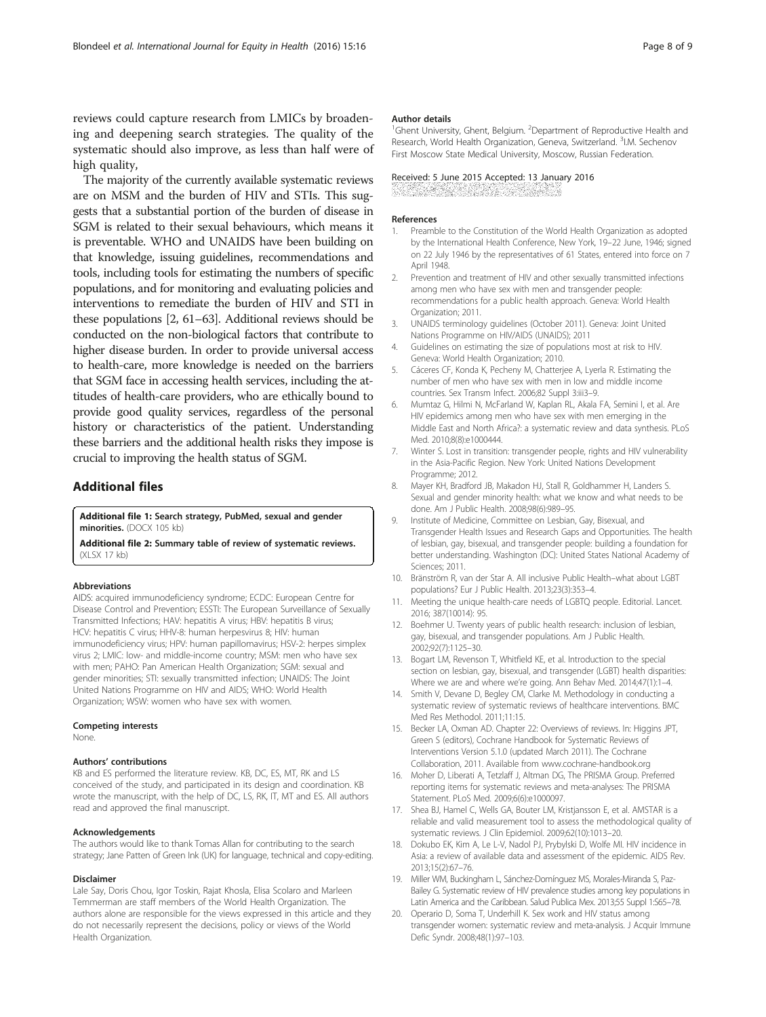<span id="page-7-0"></span>reviews could capture research from LMICs by broadening and deepening search strategies. The quality of the systematic should also improve, as less than half were of high quality,

The majority of the currently available systematic reviews are on MSM and the burden of HIV and STIs. This suggests that a substantial portion of the burden of disease in SGM is related to their sexual behaviours, which means it is preventable. WHO and UNAIDS have been building on that knowledge, issuing guidelines, recommendations and tools, including tools for estimating the numbers of specific populations, and for monitoring and evaluating policies and interventions to remediate the burden of HIV and STI in these populations [2, [61](#page--1-0)–[63\]](#page--1-0). Additional reviews should be conducted on the non-biological factors that contribute to higher disease burden. In order to provide universal access to health-care, more knowledge is needed on the barriers that SGM face in accessing health services, including the attitudes of health-care providers, who are ethically bound to provide good quality services, regardless of the personal history or characteristics of the patient. Understanding these barriers and the additional health risks they impose is crucial to improving the health status of SGM.

#### Additional files

[Additional file 1:](dx.doi.org/10.1186/s12939-016-0304-1) Search strategy, PubMed, sexual and gender minorities. (DOCX 105 kb)

[Additional file 2:](dx.doi.org/10.1186/s12939-016-0304-1) Summary table of review of systematic reviews. (XLSX 17 kb)

#### Abbreviations

AIDS: acquired immunodeficiency syndrome; ECDC: European Centre for Disease Control and Prevention; ESSTI: The European Surveillance of Sexually Transmitted Infections; HAV: hepatitis A virus; HBV: hepatitis B virus; HCV: hepatitis C virus; HHV-8: human herpesvirus 8; HIV: human immunodeficiency virus; HPV: human papillomavirus; HSV-2: herpes simplex virus 2; LMIC: low- and middle-income country; MSM: men who have sex with men; PAHO: Pan American Health Organization; SGM: sexual and gender minorities; STI: sexually transmitted infection; UNAIDS: The Joint United Nations Programme on HIV and AIDS; WHO: World Health Organization; WSW: women who have sex with women.

## Competing interests

None.

#### Authors' contributions

KB and ES performed the literature review. KB, DC, ES, MT, RK and LS conceived of the study, and participated in its design and coordination. KB wrote the manuscript, with the help of DC, LS, RK, IT, MT and ES. All authors read and approved the final manuscript.

#### Acknowledgements

The authors would like to thank Tomas Allan for contributing to the search strategy; Jane Patten of Green Ink (UK) for language, technical and copy-editing.

#### Disclaimer

Lale Say, Doris Chou, Igor Toskin, Rajat Khosla, Elisa Scolaro and Marleen Temmerman are staff members of the World Health Organization. The authors alone are responsible for the views expressed in this article and they do not necessarily represent the decisions, policy or views of the World Health Organization.

#### Author details

<sup>1</sup>Ghent University, Ghent, Belgium. <sup>2</sup>Department of Reproductive Health and Research, World Health Organization, Geneva, Switzerland. <sup>3</sup>I.M. Sechenov First Moscow State Medical University, Moscow, Russian Federation.

#### Received: 5 June 2015 Accepted: 13 January 2016

#### References

- 1. Preamble to the Constitution of the World Health Organization as adopted by the International Health Conference, New York, 19–22 June, 1946; signed on 22 July 1946 by the representatives of 61 States, entered into force on 7 April 1948.
- 2. Prevention and treatment of HIV and other sexually transmitted infections among men who have sex with men and transgender people: recommendations for a public health approach. Geneva: World Health Organization; 2011.
- 3. UNAIDS terminology guidelines (October 2011). Geneva: Joint United Nations Programme on HIV/AIDS (UNAIDS); 2011
- 4. Guidelines on estimating the size of populations most at risk to HIV. Geneva: World Health Organization; 2010.
- 5. Cáceres CF, Konda K, Pecheny M, Chatterjee A, Lyerla R. Estimating the number of men who have sex with men in low and middle income countries. Sex Transm Infect. 2006;82 Suppl 3:iii3–9.
- 6. Mumtaz G, Hilmi N, McFarland W, Kaplan RL, Akala FA, Semini I, et al. Are HIV epidemics among men who have sex with men emerging in the Middle East and North Africa?: a systematic review and data synthesis. PLoS Med. 2010;8(8):e1000444.
- 7. Winter S. Lost in transition: transgender people, rights and HIV vulnerability in the Asia-Pacific Region. New York: United Nations Development Programme; 2012.
- 8. Mayer KH, Bradford JB, Makadon HJ, Stall R, Goldhammer H, Landers S. Sexual and gender minority health: what we know and what needs to be done. Am J Public Health. 2008;98(6):989–95.
- 9. Institute of Medicine, Committee on Lesbian, Gay, Bisexual, and Transgender Health Issues and Research Gaps and Opportunities. The health of lesbian, gay, bisexual, and transgender people: building a foundation for better understanding. Washington (DC): United States National Academy of Sciences; 2011.
- 10. Bränström R, van der Star A. All inclusive Public Health–what about LGBT populations? Eur J Public Health. 2013;23(3):353–4.
- 11. Meeting the unique health-care needs of LGBTQ people. Editorial. Lancet. 2016; 387(10014): 95.
- 12. Boehmer U. Twenty years of public health research: inclusion of lesbian, gay, bisexual, and transgender populations. Am J Public Health. 2002;92(7):1125–30.
- 13. Bogart LM, Revenson T, Whitfield KE, et al. Introduction to the special section on lesbian, gay, bisexual, and transgender (LGBT) health disparities: Where we are and where we're going. Ann Behav Med. 2014;47(1):1–4.
- 14. Smith V, Devane D, Begley CM, Clarke M. Methodology in conducting a systematic review of systematic reviews of healthcare interventions. BMC Med Res Methodol. 2011;11:15.
- 15. Becker LA, Oxman AD. Chapter 22: Overviews of reviews. In: Higgins JPT, Green S (editors), Cochrane Handbook for Systematic Reviews of Interventions Version 5.1.0 (updated March 2011). The Cochrane Collaboration, 2011. Available from www.cochrane-handbook.org
- 16. Moher D, Liberati A, Tetzlaff J, Altman DG, The PRISMA Group. Preferred reporting items for systematic reviews and meta-analyses: The PRISMA Statement. PLoS Med. 2009;6(6):e1000097.
- 17. Shea BJ, Hamel C, Wells GA, Bouter LM, Kristjansson E, et al. AMSTAR is a reliable and valid measurement tool to assess the methodological quality of systematic reviews. J Clin Epidemiol. 2009;62(10):1013–20.
- 18. Dokubo EK, Kim A, Le L-V, Nadol PJ, Prybylski D, Wolfe MI. HIV incidence in Asia: a review of available data and assessment of the epidemic. AIDS Rev. 2013;15(2):67–76.
- 19. Miller WM, Buckingham L, Sánchez-Domínguez MS, Morales-Miranda S, Paz-Bailey G. Systematic review of HIV prevalence studies among key populations in Latin America and the Caribbean. Salud Publica Mex. 2013;55 Suppl 1:S65–78.
- 20. Operario D, Soma T, Underhill K. Sex work and HIV status among transgender women: systematic review and meta-analysis. J Acquir Immune Defic Syndr. 2008;48(1):97–103.